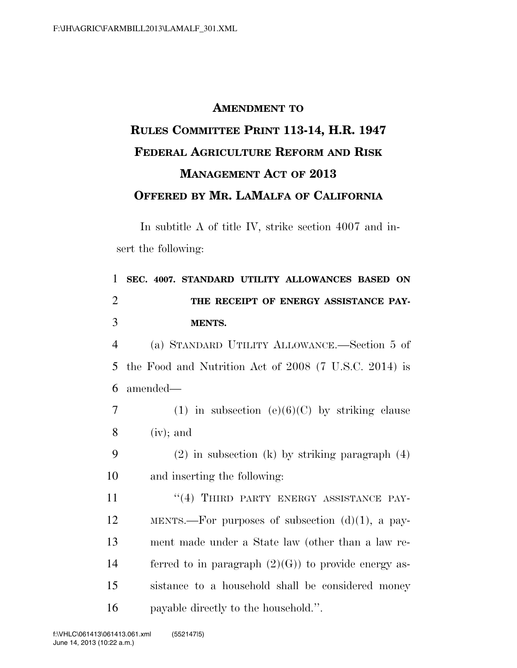## **AMENDMENT TO RULES COMMITTEE PRINT 113-14, H.R. 1947 FEDERAL AGRICULTURE REFORM AND RISK MANAGEMENT ACT OF 2013 OFFERED BY MR. LAMALFA OF CALIFORNIA**

In subtitle A of title IV, strike section 4007 and insert the following:

| 1              | SEC. 4007. STANDARD UTILITY ALLOWANCES BASED ON       |
|----------------|-------------------------------------------------------|
| $\overline{2}$ | THE RECEIPT OF ENERGY ASSISTANCE PAY-                 |
| 3              | <b>MENTS.</b>                                         |
| $\overline{4}$ | (a) STANDARD UTILITY ALLOWANCE.—Section 5 of          |
| 5              | the Food and Nutrition Act of 2008 (7 U.S.C. 2014) is |
| 6              | amended—                                              |
| $\overline{7}$ | (1) in subsection (e)(6)(C) by striking clause        |
| 8              | $(iv)$ ; and                                          |
| 9              | $(2)$ in subsection (k) by striking paragraph $(4)$   |
| 10             | and inserting the following:                          |
| 11             | "(4) THIRD PARTY ENERGY ASSISTANCE PAY-               |
| 12             | MENTS.—For purposes of subsection $(d)(1)$ , a pay-   |
| 13             | ment made under a State law (other than a law re-     |
| 14             | ferred to in paragraph $(2)(G)$ to provide energy as- |
| 15             | sistance to a household shall be considered money     |
| 16             | payable directly to the household.".                  |